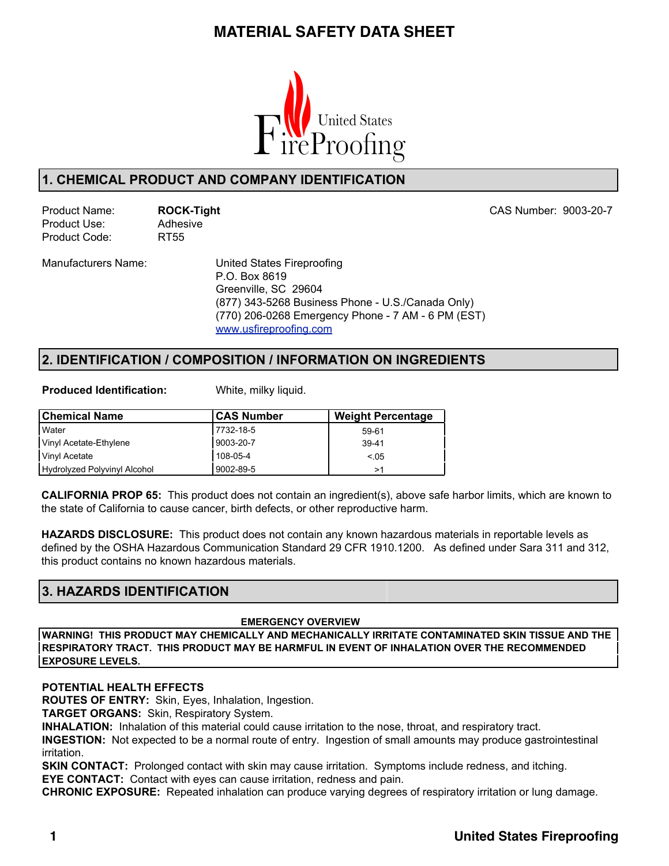

### **1. CHEMICAL PRODUCT AND COMPANY IDENTIFICATION**

Product Use: Adhesive Product Code: RT55

Product Name: **ROCK-Tight** CAS Number: 9003-20-7

Manufacturers Name: United States Fireproofing P.O. Box 8619 Greenville, SC 29604 (877) 343-5268 Business Phone - U.S./Canada Only) (770) 206-0268 Emergency Phone - 7 AM - 6 PM (EST) www.usfireproofing.com

### **2. IDENTIFICATION / COMPOSITION / INFORMATION ON INGREDIENTS**

**Produced Identification:** White, milky liquid.

| <b>Chemical Name</b>         | <b>CAS Number</b> | <b>Weight Percentage</b> |
|------------------------------|-------------------|--------------------------|
| l Water                      | 17732-18-5        | 59-61                    |
| Vinyl Acetate-Ethylene       | 9003-20-7         | $39 - 41$                |
| Vinyl Acetate                | 108-05-4          | < 0.05                   |
| Hydrolyzed Polyvinyl Alcohol | 9002-89-5         | >1                       |

**CALIFORNIA PROP 65:** This product does not contain an ingredient(s), above safe harbor limits, which are known to the state of California to cause cancer, birth defects, or other reproductive harm.

**HAZARDS DISCLOSURE:** This product does not contain any known hazardous materials in reportable levels as defined by the OSHA Hazardous Communication Standard 29 CFR 1910.1200. As defined under Sara 311 and 312, this product contains no known hazardous materials.

## **3. HAZARDS IDENTIFICATION**

#### **EMERGENCY OVERVIEW**

**WARNING! THIS PRODUCT MAY CHEMICALLY AND MECHANICALLY IRRITATE CONTAMINATED SKIN TISSUE AND THE RESPIRATORY TRACT. THIS PRODUCT MAY BE HARMFUL IN EVENT OF INHALATION OVER THE RECOMMENDED EXPOSURE LEVELS.**

#### **POTENTIAL HEALTH EFFECTS**

**ROUTES OF ENTRY:** Skin, Eyes, Inhalation, Ingestion.

**TARGET ORGANS:** Skin, Respiratory System.

**INHALATION:** Inhalation of this material could cause irritation to the nose, throat, and respiratory tract.

**INGESTION:** Not expected to be a normal route of entry. Ingestion of small amounts may produce gastrointestinal irritation.

**SKIN CONTACT:** Prolonged contact with skin may cause irritation. Symptoms include redness, and itching. **EYE CONTACT:** Contact with eyes can cause irritation, redness and pain.

**CHRONIC EXPOSURE:** Repeated inhalation can produce varying degrees of respiratory irritation or lung damage.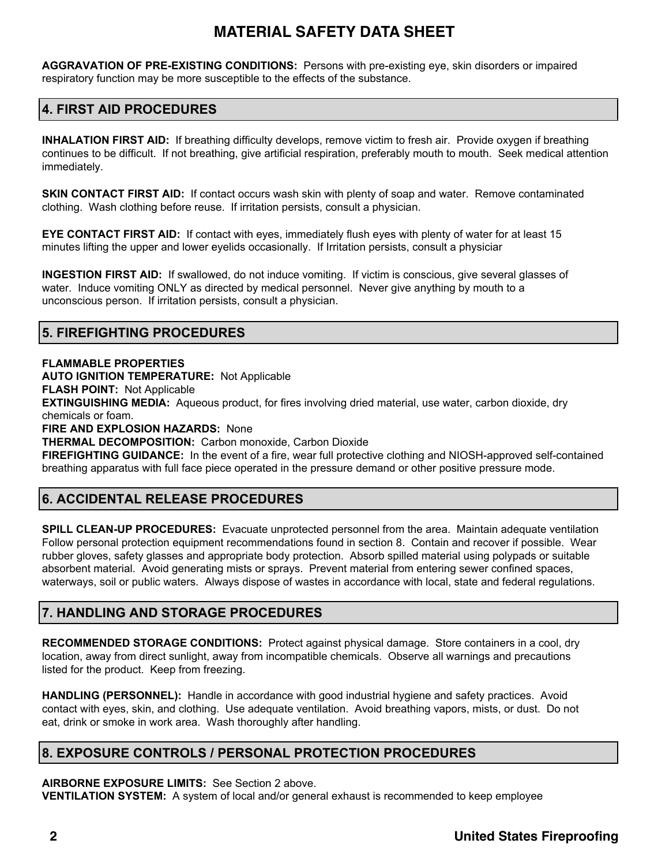**AGGRAVATION OF PRE-EXISTING CONDITIONS:** Persons with pre-existing eye, skin disorders or impaired respiratory function may be more susceptible to the effects of the substance.

### **4. FIRST AID PROCEDURES**

**INHALATION FIRST AID:** If breathing difficulty develops, remove victim to fresh air. Provide oxygen if breathing continues to be difficult. If not breathing, give artificial respiration, preferably mouth to mouth. Seek medical attention immediately.

**SKIN CONTACT FIRST AID:** If contact occurs wash skin with plenty of soap and water. Remove contaminated clothing. Wash clothing before reuse. If irritation persists, consult a physician.

**EYE CONTACT FIRST AID:** If contact with eyes, immediately flush eyes with plenty of water for at least 15 minutes lifting the upper and lower eyelids occasionally. If Irritation persists, consult a physician.

**INGESTION FIRST AID:** If swallowed, do not induce vomiting. If victim is conscious, give several glasses of water. Induce vomiting ONLY as directed by medical personnel. Never give anything by mouth to a unconscious person. If irritation persists, consult a physician.

### **5. FIREFIGHTING PROCEDURES**

#### **FLAMMABLE PROPERTIES**

**AUTO IGNITION TEMPERATURE:** Not Applicable

**FLASH POINT:** Not Applicable

**EXTINGUISHING MEDIA:** Aqueous product, for fires involving dried material, use water, carbon dioxide, dry chemicals or foam.

**FIRE AND EXPLOSION HAZARDS:** None

**THERMAL DECOMPOSITION:** Carbon monoxide, Carbon Dioxide

**FIREFIGHTING GUIDANCE:** In the event of a fire, wear full protective clothing and NIOSH-approved self-contained breathing apparatus with full face piece operated in the pressure demand or other positive pressure mode.

## **6. ACCIDENTAL RELEASE PROCEDURES**

**SPILL CLEAN-UP PROCEDURES:** Evacuate unprotected personnel from the area. Maintain adequate ventilation Follow personal protection equipment recommendations found in section 8. Contain and recover if possible. Wear rubber gloves, safety glasses and appropriate body protection. Absorb spilled material using polypads or suitable absorbent material. Avoid generating mists or sprays. Prevent material from entering sewer confined spaces, waterways, soil or public waters. Always dispose of wastes in accordance with local, state and federal regulations.

## **7. HANDLING AND STORAGE PROCEDURES**

**RECOMMENDED STORAGE CONDITIONS:** Protect against physical damage. Store containers in a cool, dry location, away from direct sunlight, away from incompatible chemicals. Observe all warnings and precautions listed for the product. Keep from freezing.

**HANDLING (PERSONNEL):** Handle in accordance with good industrial hygiene and safety practices. Avoid contact with eyes, skin, and clothing. Use adequate ventilation. Avoid breathing vapors, mists, or dust. Do not eat, drink or smoke in work area. Wash thoroughly after handling.

## **8. EXPOSURE CONTROLS / PERSONAL PROTECTION PROCEDURES**

**AIRBORNE EXPOSURE LIMITS:** See Section 2 above.

**VENTILATION SYSTEM:** A system of local and/or general exhaust is recommended to keep employee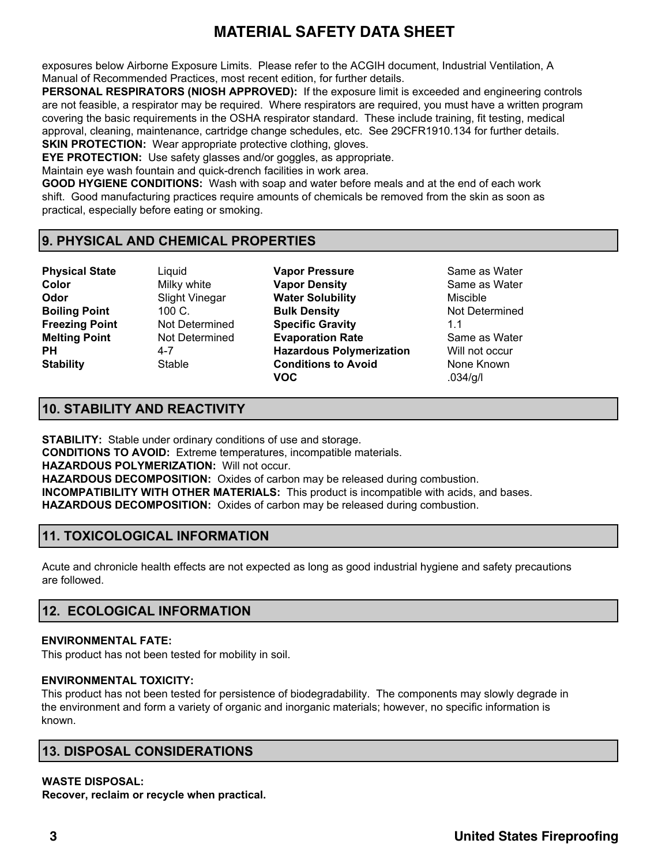exposures below Airborne Exposure Limits. Please refer to the ACGIH document, Industrial Ventilation, A Manual of Recommended Practices, most recent edition, for further details.

**PERSONAL RESPIRATORS (NIOSH APPROVED):** If the exposure limit is exceeded and engineering controls are not feasible, a respirator may be required. Where respirators are required, you must have a written program covering the basic requirements in the OSHA respirator standard. These include training, fit testing, medical approval, cleaning, maintenance, cartridge change schedules, etc. See 29CFR1910.134 for further details. **SKIN PROTECTION:** Wear appropriate protective clothing, gloves.

**EYE PROTECTION:** Use safety glasses and/or goggles, as appropriate.

Maintain eye wash fountain and quick-drench facilities in work area.

**GOOD HYGIENE CONDITIONS:** Wash with soap and water before meals and at the end of each work shift. Good manufacturing practices require amounts of chemicals be removed from the skin as soon as practical, especially before eating or smoking.

### **9. PHYSICAL AND CHEMICAL PROPERTIES**

**Physical State** Liquid **Vapor Pressure** Same as Water

**Color Color** Milky white **Vapor Density** Same as Water **Odor** Slight Vinegar **Water Solubility** Miscible **Boiling Point** 100 C. **Bulk Density Bulk Density** Not Determined **Freezing Point** Not Determined **Specific Gravity** 1.1 **Melting Point** Not Determined **Evaporation Rate** Same as Water **PH** 4-7 **Hazardous Polymerization** Will not occur **Stability Conditions to Avoid** None Known **VOC** .034/g/l

## **10. STABILITY AND REACTIVITY**

**STABILITY:** Stable under ordinary conditions of use and storage. **CONDITIONS TO AVOID:** Extreme temperatures, incompatible materials. **HAZARDOUS POLYMERIZATION:** Will not occur. **HAZARDOUS DECOMPOSITION:** Oxides of carbon may be released during combustion. **INCOMPATIBILITY WITH OTHER MATERIALS:** This product is incompatible with acids, and bases. **HAZARDOUS DECOMPOSITION:** Oxides of carbon may be released during combustion.

## **11. TOXICOLOGICAL INFORMATION**

Acute and chronicle health effects are not expected as long as good industrial hygiene and safety precautions are followed.

## **12. ECOLOGICAL INFORMATION**

#### **ENVIRONMENTAL FATE:**

This product has not been tested for mobility in soil.

#### **ENVIRONMENTAL TOXICITY:**

This product has not been tested for persistence of biodegradability. The components may slowly degrade in the environment and form a variety of organic and inorganic materials; however, no specific information is known.

## **13. DISPOSAL CONSIDERATIONS**

#### **WASTE DISPOSAL:**

**Recover, reclaim or recycle when practical.**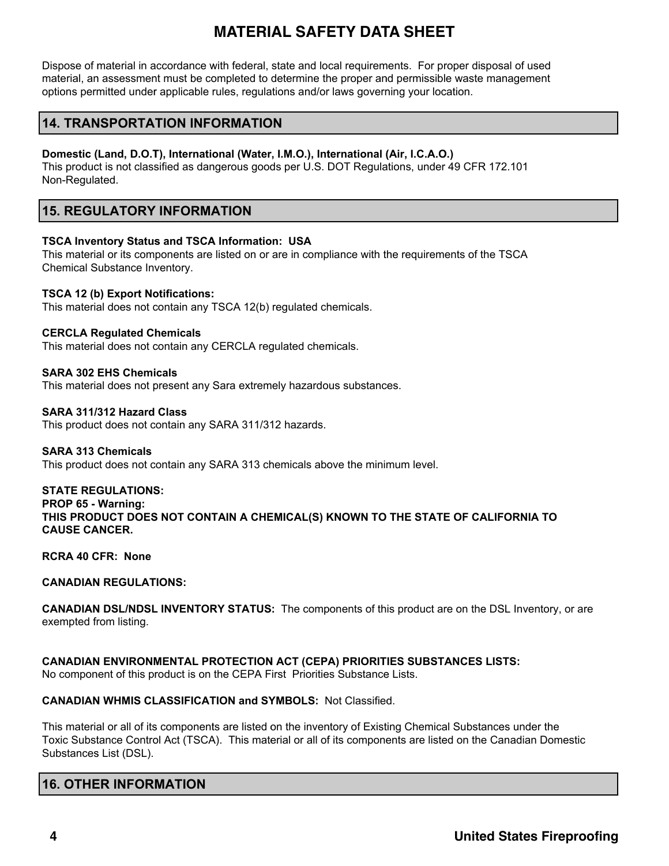Dispose of material in accordance with federal, state and local requirements. For proper disposal of used material, an assessment must be completed to determine the proper and permissible waste management options permitted under applicable rules, regulations and/or laws governing your location.

### **14. TRANSPORTATION INFORMATION**

#### **Domestic (Land, D.O.T), International (Water, I.M.O.), International (Air, I.C.A.O.)**

This product is not classified as dangerous goods per U.S. DOT Regulations, under 49 CFR 172.101 Non-Regulated.

### **15. REGULATORY INFORMATION**

#### **TSCA Inventory Status and TSCA Information: USA**

This material or its components are listed on or are in compliance with the requirements of the TSCA Chemical Substance Inventory.

#### **TSCA 12 (b) Export Notifications:**

This material does not contain any TSCA 12(b) regulated chemicals.

#### **CERCLA Regulated Chemicals**

This material does not contain any CERCLA regulated chemicals.

#### **SARA 302 EHS Chemicals**

This material does not present any Sara extremely hazardous substances.

#### **SARA 311/312 Hazard Class**

This product does not contain any SARA 311/312 hazards.

#### **SARA 313 Chemicals**

This product does not contain any SARA 313 chemicals above the minimum level.

#### **STATE REGULATIONS:**

### **PROP 65 - Warning:**

**THIS PRODUCT DOES NOT CONTAIN A CHEMICAL(S) KNOWN TO THE STATE OF CALIFORNIA TO CAUSE CANCER.**

#### **RCRA 40 CFR: None**

#### **CANADIAN REGULATIONS:**

**CANADIAN DSL/NDSL INVENTORY STATUS:** The components of this product are on the DSL Inventory, or are exempted from listing.

#### **CANADIAN ENVIRONMENTAL PROTECTION ACT (CEPA) PRIORITIES SUBSTANCES LISTS:**  No component of this product is on the CEPA First Priorities Substance Lists.

#### **CANADIAN WHMIS CLASSIFICATION and SYMBOLS:** Not Classified.

This material or all of its components are listed on the inventory of Existing Chemical Substances under the Toxic Substance Control Act (TSCA). This material or all of its components are listed on the Canadian Domestic Substances List (DSL).

### **16. OTHER INFORMATION**